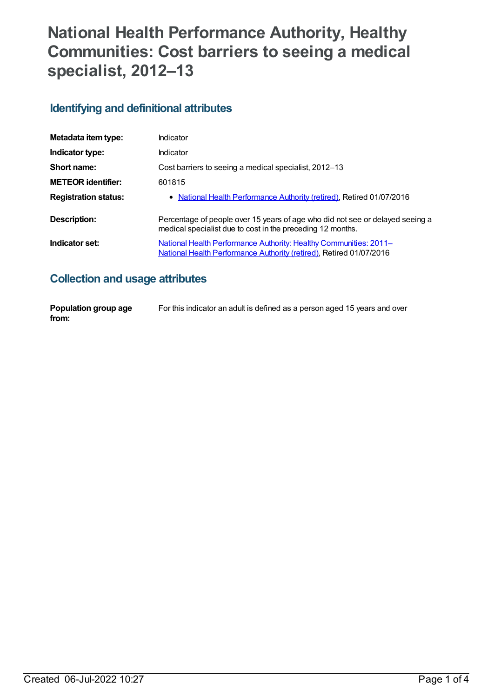# **National Health Performance Authority, Healthy Communities: Cost barriers to seeing a medical specialist, 2012–13**

### **Identifying and definitional attributes**

| Metadata item type:         | Indicator                                                                                                                                   |
|-----------------------------|---------------------------------------------------------------------------------------------------------------------------------------------|
| Indicator type:             | Indicator                                                                                                                                   |
| Short name:                 | Cost barriers to seeing a medical specialist, 2012-13                                                                                       |
| <b>METEOR identifier:</b>   | 601815                                                                                                                                      |
| <b>Registration status:</b> | • National Health Performance Authority (retired), Retired 01/07/2016                                                                       |
| Description:                | Percentage of people over 15 years of age who did not see or delayed seeing a<br>medical specialist due to cost in the preceding 12 months. |
| Indicator set:              | National Health Performance Authority: Healthy Communities: 2011-<br>National Health Performance Authority (retired), Retired 01/07/2016    |

## **Collection and usage attributes**

| Population group age | For this indicator an adult is defined as a person aged 15 years and over |
|----------------------|---------------------------------------------------------------------------|
| from:                |                                                                           |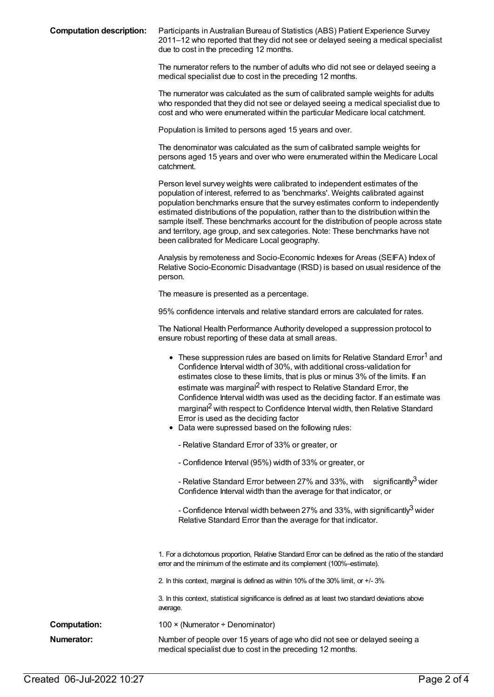**Computation description:** Participants in Australian Bureau of Statistics (ABS) Patient Experience Survey 2011–12 who reported that they did not see or delayed seeing a medical specialist due to cost in the preceding 12 months.

> The numerator refers to the number of adults who did not see or delayed seeing a medical specialist due to cost in the preceding 12 months.

The numerator was calculated as the sum of calibrated sample weights for adults who responded that they did not see or delayed seeing a medical specialist due to cost and who were enumerated within the particular Medicare local catchment.

Population is limited to persons aged 15 years and over.

The denominator was calculated as the sum of calibrated sample weights for persons aged 15 years and over who were enumerated within the Medicare Local catchment.

Person level survey weights were calibrated to independent estimates of the population of interest, referred to as 'benchmarks'. Weights calibrated against population benchmarks ensure that the survey estimates conform to independently estimated distributions of the population, rather than to the distribution within the sample itself. These benchmarks account for the distribution of people across state and territory, age group, and sex categories. Note: These benchmarks have not been calibrated for Medicare Local geography.

Analysis by remoteness and Socio-Economic Indexes for Areas (SEIFA) Index of Relative Socio-Economic Disadvantage (IRSD) is based on usual residence of the person.

The measure is presented as a percentage.

95% confidence intervals and relative standard errors are calculated for rates.

The National Health Performance Authority developed a suppression protocol to ensure robust reporting of these data at small areas.

|                     | These suppression rules are based on limits for Relative Standard Error <sup>1</sup> and<br>Confidence Interval width of 30%, with additional cross-validation for<br>estimates close to these limits, that is plus or minus 3% of the limits. If an<br>estimate was marginal <sup>2</sup> with respect to Relative Standard Error, the<br>Confidence Interval width was used as the deciding factor. If an estimate was<br>marginal <sup>2</sup> with respect to Confidence Interval width, then Relative Standard<br>Error is used as the deciding factor<br>• Data were supressed based on the following rules:<br>- Relative Standard Error of 33% or greater, or<br>- Confidence Interval (95%) width of 33% or greater, or<br>- Relative Standard Error between 27% and 33%, with significantly <sup>3</sup> wider<br>Confidence Interval width than the average for that indicator, or |
|---------------------|-----------------------------------------------------------------------------------------------------------------------------------------------------------------------------------------------------------------------------------------------------------------------------------------------------------------------------------------------------------------------------------------------------------------------------------------------------------------------------------------------------------------------------------------------------------------------------------------------------------------------------------------------------------------------------------------------------------------------------------------------------------------------------------------------------------------------------------------------------------------------------------------------|
|                     | - Confidence Interval width between 27% and 33%, with significantly <sup>3</sup> wider<br>Relative Standard Error than the average for that indicator.                                                                                                                                                                                                                                                                                                                                                                                                                                                                                                                                                                                                                                                                                                                                        |
|                     | 1. For a dichotomous proportion, Relative Standard Error can be defined as the ratio of the standard<br>error and the minimum of the estimate and its complement (100%-estimate).                                                                                                                                                                                                                                                                                                                                                                                                                                                                                                                                                                                                                                                                                                             |
|                     | 2. In this context, marginal is defined as within 10% of the 30% limit, or +/-3%                                                                                                                                                                                                                                                                                                                                                                                                                                                                                                                                                                                                                                                                                                                                                                                                              |
|                     | 3. In this context, statistical significance is defined as at least two standard deviations above<br>average.                                                                                                                                                                                                                                                                                                                                                                                                                                                                                                                                                                                                                                                                                                                                                                                 |
| <b>Computation:</b> | 100 × (Numerator ÷ Denominator)                                                                                                                                                                                                                                                                                                                                                                                                                                                                                                                                                                                                                                                                                                                                                                                                                                                               |
| Numerator:          | Number of people over 15 years of age who did not see or delayed seeing a<br>medical specialist due to cost in the preceding 12 months.                                                                                                                                                                                                                                                                                                                                                                                                                                                                                                                                                                                                                                                                                                                                                       |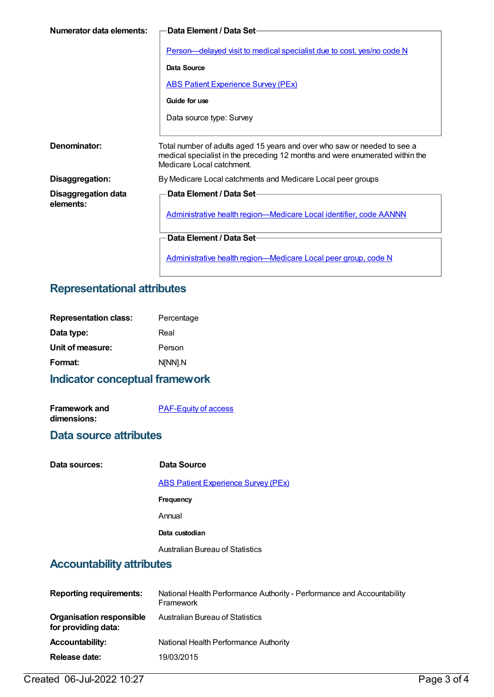| Numerator data elements:         | <b>Data Element / Data Set-</b>                                                                                                                                                       |
|----------------------------------|---------------------------------------------------------------------------------------------------------------------------------------------------------------------------------------|
|                                  | Person-delayed visit to medical specialist due to cost, yes/no code N                                                                                                                 |
|                                  | Data Source                                                                                                                                                                           |
|                                  | <b>ABS Patient Experience Survey (PEx)</b>                                                                                                                                            |
|                                  | Guide for use                                                                                                                                                                         |
|                                  | Data source type: Survey                                                                                                                                                              |
|                                  |                                                                                                                                                                                       |
| Denominator:                     | Total number of adults aged 15 years and over who saw or needed to see a<br>medical specialist in the preceding 12 months and were enumerated within the<br>Medicare Local catchment. |
| Disaggregation:                  | By Medicare Local catchments and Medicare Local peer groups                                                                                                                           |
| Disaggregation data<br>elements: | Data Element / Data Set-<br>Administrative health region-Medicare Local identifier, code AANNN                                                                                        |
|                                  | Data Element / Data Set-                                                                                                                                                              |
|                                  | <u>Administrative health region—Medicare Local peer group, code N</u>                                                                                                                 |

## **Representational attributes**

| <b>Representation class:</b> | Percentage |
|------------------------------|------------|
| Data type:                   | Real       |
| Unit of measure:             | Person     |
| Format:                      | N[NN].N    |
|                              |            |

## **Indicator conceptual framework**

| <b>Framework and</b> | <b>PAF-Equity of access</b> |
|----------------------|-----------------------------|
| dimensions:          |                             |

#### **Data source attributes**

| Data sources: | Data Source                                |
|---------------|--------------------------------------------|
|               | <b>ABS Patient Experience Survey (PEx)</b> |
|               | <b>Frequency</b>                           |
|               | Annual                                     |
|               | Data custodian                             |
|               | Australian Bureau of Statistics            |

#### **Accountability attributes**

| <b>Reporting requirements:</b>                         | National Health Performance Authority - Performance and Accountability<br>Framework |
|--------------------------------------------------------|-------------------------------------------------------------------------------------|
| <b>Organisation responsible</b><br>for providing data: | <b>Australian Bureau of Statistics</b>                                              |
| <b>Accountability:</b>                                 | National Health Performance Authority                                               |
| Release date:                                          | 19/03/2015                                                                          |